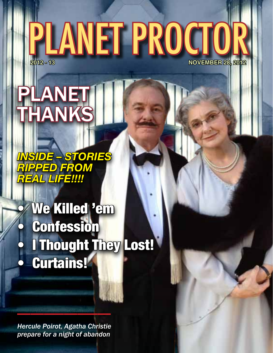# PLANET PROCTO **2012 - 13 NOVEMBER 28, 2012**

2012 - 13 PLANET THANKS NOW THANKS NO REAL PROPERTY OF THE REAL PROPERTY OF THE REAL PROPERTY OF THE REAL PROPERTY OF THE REAL PROPERTY OF THE REAL PROPERTY OF THE REAL PROPERTY OF THE REAL PROPERTY OF THE REAL PROPERTY OF

THANKS *INSIDE – STORIES RIPPED FROM REAL LIFE!!!!*

PLANET

### • [We Killed 'em](#page-1-0) **[Confession](#page-2-0) [I Thought They Lost!](#page-3-0)** • [Curtains!](#page-4-0)

THROUGHOUT THE 'PLANET, SIL BOLD, DARK RED TYPE *Hercule Poirot, Agatha Christie*  OPENS A RELATED INTERNET LINK. *prepare for a night of abandon*

\_\_\_\_\_\_\_\_\_\_\_\_\_\_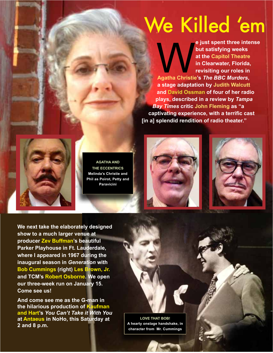## <span id="page-1-0"></span>We Killed 'em

e just spent three intense<br>
but satisfying weeks<br>
at the Capitol Theatre<br>
in Clearwater, Florida,<br>
revisiting our roles in<br>
Agatha Christie's *The BBC Murders*, **but satisfying weeks at the Capitol Theatre in Clearwater, Florida, revisiting our roles in a stage adaptation by Judith Walcutt and David Ossman of four of her radio plays, described in a review by** *Tampa Bay Times* **critic John Fleming as "a captivating experience, with a terrific cast [in a] splendid rendition of radio theater."**



**AGATHA AND THE ECCENTRICS Melinda's Christie and Phil as Poirot, Petty and Paravicini** 





**We next take the elaborately designed show to a much larger venue at producer Zev Buffman's beautiful Parker Playhouse in Ft. Lauderdale, where I appeared in 1967 during the inaugural season in** *Generation* **with Bob Cummings (right) Les Brown, Jr. and TCM's Robert Osborne. We open our three-week run on January 15. Come see us!**

**And come see me as the G-man in the hilarious production of Kaufman and Hart's** *You Can't Take it With You*  **at Antaeus in NoHo, this Saturday at 2 and 8 p.m.**

**LOVE THAT BOB! A hearty onstage handshake, in character from Mr. Cummings**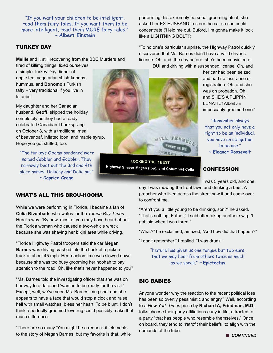"If you want your children to be intelligent, read them fairy tales. If you want them to be more intelligent, read them MORE fairy tales." ~ **Albert Einstein**

TURKEY DAY

**Mellie** and **I**, still recovering from the BBC Murders and tired of killimg things, fixed ourselves

a simple Turkey Day dinner of apple tea, vegetarian shish-kabobs, hummus, and **Bonomo**'s Turkish taffy – very traditional if you live in Istanbul.

My daughter and her Canadian husband, **Geoff**, skipped the holiday completely as they had already celebrated Canadian Thanksgiving on October 8, with a traditional meal of beaverloaf, inflated loon, and maple syrup. Hope you got stuffed, too.

"The turkeys Obama pardoned were named Cobbler and Gobbler. They narrowly beat out the 3rd and 4th place names: Unlucky and Delicious" ~ **Caprice Crane**

performing this extremely personal grooming ritual, she asked her EX-HUSBAND to steer the car so she could concentrate ('Help me out, Buford, I'm gonna make it look like a LIGHTNING BOLT!')

"To no one's particular surprise, the Highway Patrol quickly discovered that Ms. Barnes didn't have a valid driver's license. Oh, and, the day before, she'd been convicted of

DUI and driving with a suspended license. Oh, and

her car had been seized and had no insurance or registration. Oh, and she was on probation. Oh, and SHE'S A FLIPPIN' LUNATIC! Albeit an impeccably groomed one."

"Remember always that you not only have a right to be an individual, you have an obligation to be one." ~ **Eleanor Roosevelt**

<span id="page-2-0"></span>**CONFESSION** 

I was 5 years old, and one

day I was mowing the front lawn and drinking a beer. A preacher who lived across the street saw it and came over to confront me.

"Aren't you a little young to be drinking, son?" he asked. "That's nothing, Father," I said after taking another swig. "I got laid when I was three."

"What?" he exclaimed, amazed, "And how did that happen?"

"I don't remember," I replied. "I was drunk."

"Nature has given us one tongue but two ears, that we may hear from others twice as much as we speak." ~ **Epictectus**

#### BIG BABIES

Anyone wonder why the reaction to the recent political loss has been so overtly pessimistic and angry? Well, according to a *New York Times* piece by **Richard A, Friedman, M.D**., folks choose their party affiliations early in life, attracted to a party "that has people who resemble themselves." Once on board, they tend to "retrofit their beliefs" to align with the demands of the tribe.

#### WHAT'S ALL THIS BROU-HOOHA

While we were performing in Florida, I became a fan of **Celia Rivenbark**, who writes for the *Tampa Bay Times*. Here' s why: "By now, most of you may have heard about the Florida woman who caused a two-vehicle wreck because she was shaving her bikini area while driving.

"Florida Highway Patrol troopers said the car **Megan Barnes** was driving crashed into the back of a pickup truck at about 45 mph. Her reaction time was slowed down because she was too busy grooming her hoohah to pay attention to the road. Oh, like that's never happened to you?

"Ms. Barnes told the investigating officer that she was on her way to a date and 'wanted to be ready for the visit.' Except, well, we've seen Ms. Barnes' mug shot and she appears to have a face that would stop a clock and raise hell with small watches, bless her heart. To be blunt, I don't think a perfectly groomed love rug could possibly make that much difference.

"There are so many 'You might be a redneck if' elements to the story of Megan Barnes, but my favorite is that, while



**Highway Shaver Megan (top), and Columnist Celia**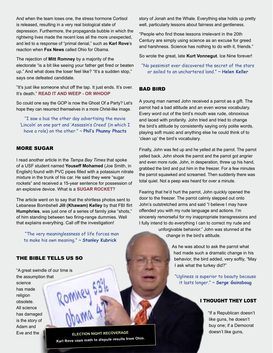And when the team loses one, the stress hormone Cortisol is released, resulting in a very real biological state of depression. Furthermore, the propaganda bubble in which the rightwing lives made the recent loss all the more unexpected, and led to a response of "primal denial," such as **Karl Rove**'s reaction when **Fox News** called Ohio for Obama.

The rejection of **Mitt Romney** by a majority of the electorate "is a bit like seeing your father get fired or beaten up." And what does the loser feel like? "It's a sudden stop," says one defeated candidate.

"It's just like someone shut off the tap. It just ends. It's over. It's death." **[READ IT AND WEEP - OR WHOOP](http://well.blogs.nytimes.com/2012/11/12/emotions-come-to-fore-in-political-wins-and-losses/)**

So could one say the GOP is now the Ghost Of a Party? Let's hope they can resurrect themselves in a more Christ-like image.

"I saw a bus the other day advertising the movie 'Lincoln' on one part and 'Assassin's Creed' (in which I have a role) on the other." ~ **Phil's Phunny Phacts**

#### MORE SUGAR

I read another article in the *Tampa Bay Times* that spoke of a USF student named **Youseff Mohamed** (Joe Smith, in English) found with PVC pipes filled with a potassium nitrate mixture in the trunk of his car. He said they were "sugar rockets" and received a 15-year sentence for possession of an explosive device. What is a **[SUGAR ROCKET](http://www.wikihow.com/Make-Sugar-Rockets)**?

The article went on to say that the shirtless photos sent to Lebanese Bombshell **Jill (Khawam) Kelley** by that FBI flirt **Humphries**, was just one of a series of family joke "shots," of him standing between two firing-range dummies. Well that explains everything. Call off the investigation!

"The very meaninglessness of life forces man to make his own meaning." ~ **Stanley Kubrick** 

#### THE BIBLE TELLS US SO

"A great swindle of our time is the assumption that science has made religion obsolete. All science has damaged is the story of Adam and Eve and the

**ELECTION NIGHT RECOVERAGE Karl Rove uses math to dispute results from Ohio.**

story of Jonah and the Whale. Everything else holds up pretty well, particularly lessons about fairness and gentleness.

"People who find those lessons irrelevant in the 20th Century are simply using science as an excuse for greed and harshness. Science has nothing to do with it, friends."

So wrote the great, late **Kurt Vonnegut**. Ice Nine forever!

"No pessimist ever discovered the secret of the stars or sailed to an unchartered land." ~ **Helen Keller**

#### BAD BIRD

A young man named John received a parrot as a gift. The parrot had a bad attitude and an even worse vocabulary. Every word out of the bird's mouth was rude, obnoxious and laced with profanity. John tried and tried to change the bird's attitude by consistently saying only polite words, playing soft music and anything else he could think of to 'clean up' the bird's vocabulary.

Finally, John was fed up and he yelled at the parrot. The parrot yelled back. John shook the parrot and the parrot got angrier and even more rude. John, in desperation, threw up his hand, grabbed the bird and put him in the freezer. For a few minutes the parrot squawked and screamed. Then suddenly there was total quiet. Not a peep was heard for over a minute.

Fearing that he'd hurt the parrot, John quickly opened the door to the freezer. The parrot calmly stepped out onto John's outstretched arms and said "I believe I may have offended you with my rude language and actions. I'm sincerely remorseful for my inappropriate transgressions and I fully intend to do everything I can to correct my rude and unforgivable behavior." John was stunned at the change in the bird's attitude.

> As he was about to ask the parrot what had made such a dramatic change in his behavior, the bird added, very softly, "May I ask what the turkey did?"

"Ugliness is superior to beauty because it lasts longer." ~ **Serge Gainsboug**

#### <span id="page-3-0"></span>I THOUGHT THEY LOST

"If a Republican doesn't like guns, he doesn't buy one; if a Democrat